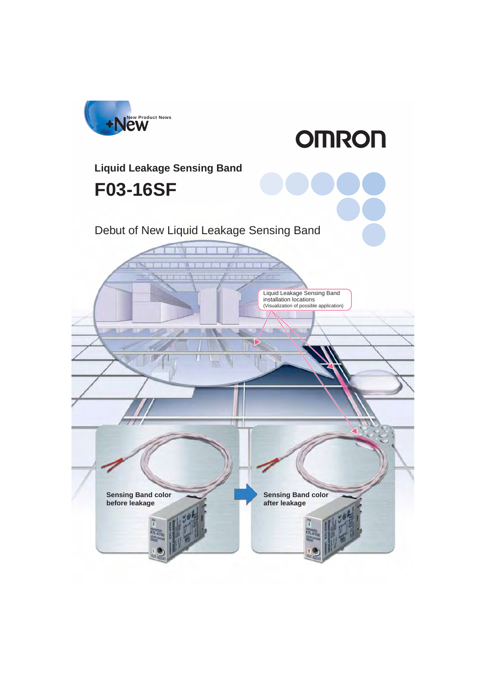

**OMRON** 

# **F03-16SF Liquid Leakage Sensing Band**

## Debut of New Liquid Leakage Sensing Band

Liquid Leakage Sensing Band installation locations (Visualization of possible application)

**Sensing Band color before leakage**

**Sensing Band color after leakage**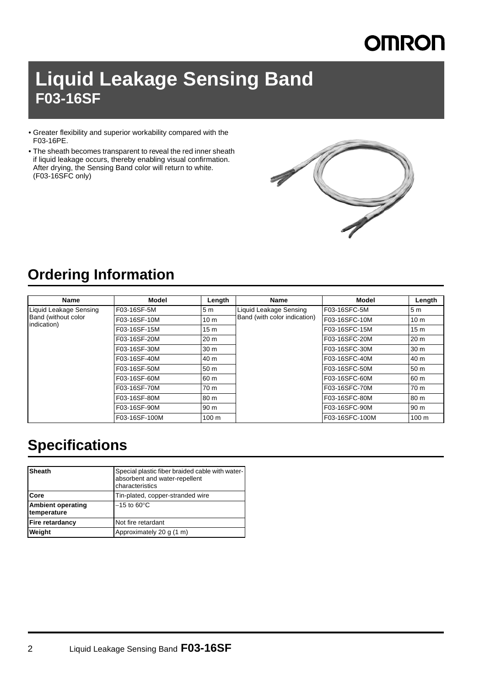# **OMRON**

# **Liquid Leakage Sensing Band F03-16SF**

- Greater flexibility and superior workability compared with the F03-16PE.
- The sheath becomes transparent to reveal the red inner sheath if liquid leakage occurs, thereby enabling visual confirmation. After drying, the Sensing Band color will return to white. (F03-16SFC only)



## **Ordering Information**

| <b>Name</b>                                                  | Model         | Length          | <b>Name</b>                                            | <b>Model</b>   | Length           |
|--------------------------------------------------------------|---------------|-----------------|--------------------------------------------------------|----------------|------------------|
| Liquid Leakage Sensing<br>Band (without color<br>indication) | F03-16SF-5M   | 5 <sub>m</sub>  | Liquid Leakage Sensing<br>Band (with color indication) | F03-16SFC-5M   | 5m               |
|                                                              | F03-16SF-10M  | 10 <sub>m</sub> |                                                        | F03-16SFC-10M  | 10 <sub>m</sub>  |
|                                                              | F03-16SF-15M  | 15 <sub>m</sub> |                                                        | F03-16SFC-15M  | 15 <sub>m</sub>  |
|                                                              | F03-16SF-20M  | 20 <sub>m</sub> |                                                        | F03-16SFC-20M  | 20 <sub>m</sub>  |
|                                                              | F03-16SF-30M  | 30 <sub>m</sub> |                                                        | F03-16SFC-30M  | 30 m             |
|                                                              | F03-16SF-40M  | 40 m            |                                                        | F03-16SFC-40M  | 40 m             |
|                                                              | F03-16SF-50M  | 50 m            |                                                        | F03-16SFC-50M  | 50 m             |
|                                                              | F03-16SF-60M  | 160 m           |                                                        | F03-16SFC-60M  | 60 m             |
|                                                              | F03-16SF-70M  | 70 m            |                                                        | F03-16SFC-70M  | 70 m             |
|                                                              | F03-16SF-80M  | 80 m            |                                                        | F03-16SFC-80M  | 80 m             |
|                                                              | F03-16SF-90M  | 90 <sub>m</sub> |                                                        | F03-16SFC-90M  | 90 m             |
|                                                              | F03-16SF-100M | 100 m           |                                                        | F03-16SFC-100M | 100 <sub>m</sub> |

## **Specifications**

| <b>Sheath</b>                           | Special plastic fiber braided cable with water-<br>absorbent and water-repellent<br>characteristics |
|-----------------------------------------|-----------------------------------------------------------------------------------------------------|
| Core                                    | Tin-plated, copper-stranded wire                                                                    |
| <b>Ambient operating</b><br>temperature | $-15$ to 60 $\degree$ C                                                                             |
| Fire retardancy                         | Not fire retardant                                                                                  |
| Weight                                  | Approximately 20 g (1 m)                                                                            |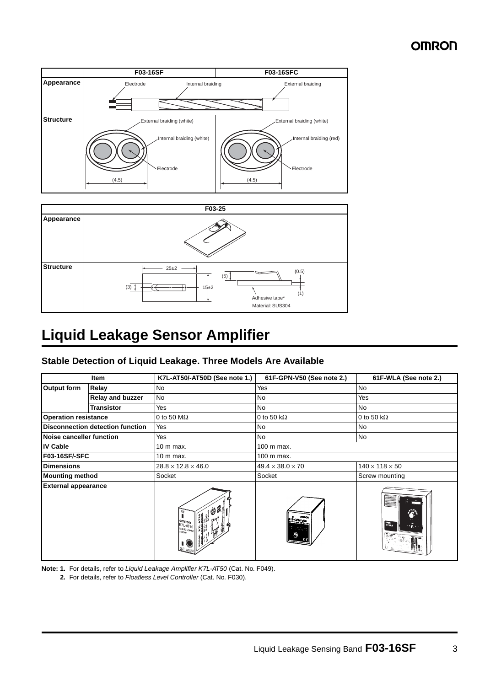## **OMRON**





## **Liquid Leakage Sensor Amplifier**

### **Stable Detection of Liquid Leakage. Three Models Are Available**

|                             | Item                             | K7L-AT50/-AT50D (See note 1.)                         | 61F-GPN-V50 (See note 2.)    | 61F-WLA (See note 2.)                |
|-----------------------------|----------------------------------|-------------------------------------------------------|------------------------------|--------------------------------------|
| Output form                 | Relay                            | No                                                    | Yes                          | <b>No</b>                            |
|                             | <b>Relay and buzzer</b>          | <b>No</b>                                             | <b>No</b>                    | Yes                                  |
|                             | <b>Transistor</b>                | Yes                                                   | <b>No</b>                    | <b>No</b>                            |
| <b>Operation resistance</b> |                                  | 0 to 50 $M\Omega$                                     | 0 to 50 k $\Omega$           | 0 to 50 k $\Omega$                   |
|                             | Disconnection detection function | Yes                                                   | <b>No</b>                    | <b>No</b>                            |
| Noise canceller function    |                                  | Yes                                                   | <b>No</b>                    | No                                   |
| <b>IV Cable</b>             |                                  | 10 m max.                                             | 100 m max.                   |                                      |
| F03-16SF/-SFC               |                                  | 10 m max.                                             | 100 m max.                   |                                      |
| <b>Dimensions</b>           |                                  | $28.8 \times 12.8 \times 46.0$                        | $49.4 \times 38.0 \times 70$ | $140 \times 118 \times 50$           |
| <b>Mounting method</b>      |                                  | Socket                                                | Socket                       | Screw mounting                       |
| <b>External appearance</b>  |                                  | om <sub>Ron</sub><br>K7L-AT50<br><b>ILEOUD LEAKGE</b> |                              | 伶<br>$rac{1}{615}$<br><b>SAMPLES</b> |

**Note: 1.** For details, refer to *Liquid Leakage Amplifier K7L-AT50* (Cat. No. F049).

**2.** For details, refer to *Floatless Level Controller* (Cat. No. F030).